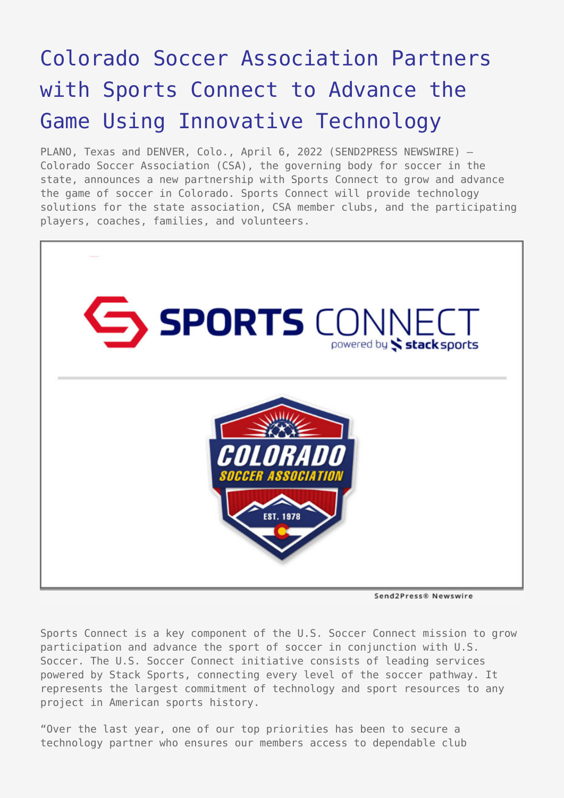## [Colorado Soccer Association Partners](https://www.send2press.com/wire/colorado-soccer-association-partners-with-sports-connect-to-advance-the-game-using-innovative-technology/) [with Sports Connect to Advance the](https://www.send2press.com/wire/colorado-soccer-association-partners-with-sports-connect-to-advance-the-game-using-innovative-technology/) [Game Using Innovative Technology](https://www.send2press.com/wire/colorado-soccer-association-partners-with-sports-connect-to-advance-the-game-using-innovative-technology/)

PLANO, Texas and DENVER, Colo., April 6, 2022 (SEND2PRESS NEWSWIRE) — Colorado Soccer Association (CSA), the governing body for soccer in the state, announces a new partnership with Sports Connect to grow and advance the game of soccer in Colorado. Sports Connect will provide technology solutions for the state association, CSA member clubs, and the participating players, coaches, families, and volunteers.



Send2Press® Newswire

Sports Connect is a key component of the U.S. Soccer Connect mission to grow participation and advance the sport of soccer in conjunction with U.S. Soccer. The U.S. Soccer Connect initiative consists of leading services powered by Stack Sports, connecting every level of the soccer pathway. It represents the largest commitment of technology and sport resources to any project in American sports history.

"Over the last year, one of our top priorities has been to secure a technology partner who ensures our members access to dependable club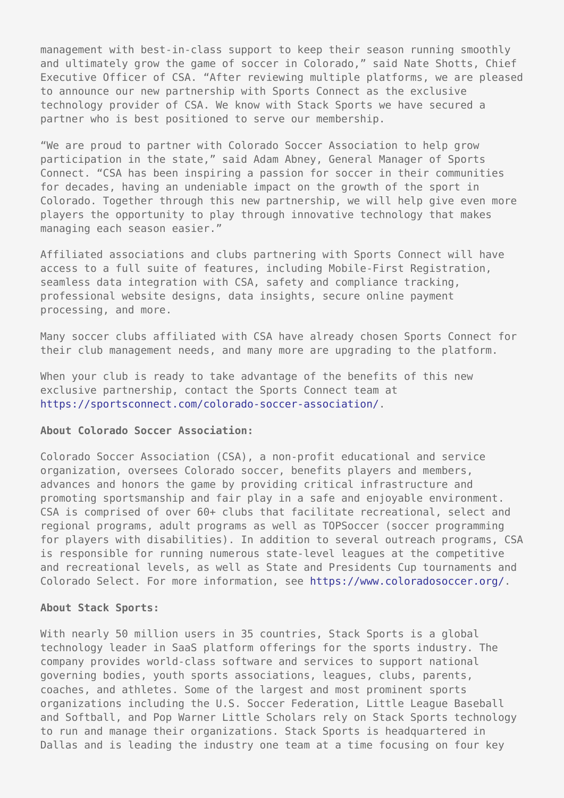management with best-in-class support to keep their season running smoothly and ultimately grow the game of soccer in Colorado," said Nate Shotts, Chief Executive Officer of CSA. "After reviewing multiple platforms, we are pleased to announce our new partnership with Sports Connect as the exclusive technology provider of CSA. We know with Stack Sports we have secured a partner who is best positioned to serve our membership.

"We are proud to partner with Colorado Soccer Association to help grow participation in the state," said Adam Abney, General Manager of Sports Connect. "CSA has been inspiring a passion for soccer in their communities for decades, having an undeniable impact on the growth of the sport in Colorado. Together through this new partnership, we will help give even more players the opportunity to play through innovative technology that makes managing each season easier."

Affiliated associations and clubs partnering with Sports Connect will have access to a full suite of features, including Mobile-First Registration, seamless data integration with CSA, safety and compliance tracking, professional website designs, data insights, secure online payment processing, and more.

Many soccer clubs affiliated with CSA have already chosen Sports Connect for their club management needs, and many more are upgrading to the platform.

When your club is ready to take advantage of the benefits of this new exclusive partnership, contact the Sports Connect team at <https://sportsconnect.com/colorado-soccer-association/>.

## **About Colorado Soccer Association:**

Colorado Soccer Association (CSA), a non-profit educational and service organization, oversees Colorado soccer, benefits players and members, advances and honors the game by providing critical infrastructure and promoting sportsmanship and fair play in a safe and enjoyable environment. CSA is comprised of over 60+ clubs that facilitate recreational, select and regional programs, adult programs as well as TOPSoccer (soccer programming for players with disabilities). In addition to several outreach programs, CSA is responsible for running numerous state-level leagues at the competitive and recreational levels, as well as State and Presidents Cup tournaments and Colorado Select. For more information, see [https://www.coloradosoccer.org/.](https://www.coloradosoccer.org/)

## **About Stack Sports:**

With nearly 50 million users in 35 countries, Stack Sports is a global technology leader in SaaS platform offerings for the sports industry. The company provides world-class software and services to support national governing bodies, youth sports associations, leagues, clubs, parents, coaches, and athletes. Some of the largest and most prominent sports organizations including the U.S. Soccer Federation, Little League Baseball and Softball, and Pop Warner Little Scholars rely on Stack Sports technology to run and manage their organizations. Stack Sports is headquartered in Dallas and is leading the industry one team at a time focusing on four key